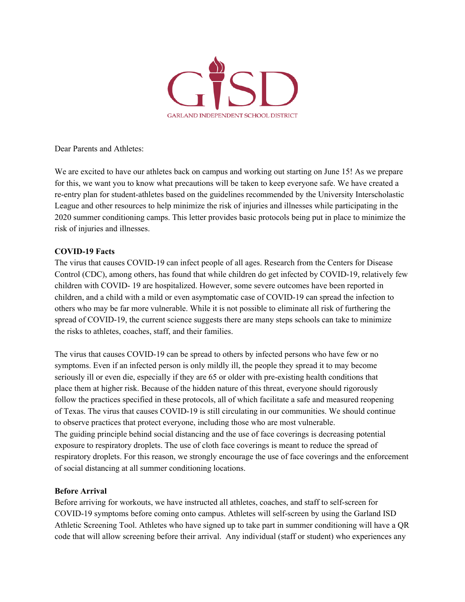

Dear Parents and Athletes:

We are excited to have our athletes back on campus and working out starting on June 15! As we prepare for this, we want you to know what precautions will be taken to keep everyone safe. We have created a re-entry plan for student-athletes based on the guidelines recommended by the University Interscholastic League and other resources to help minimize the risk of injuries and illnesses while participating in the 2020 summer conditioning camps. This letter provides basic protocols being put in place to minimize the risk of injuries and illnesses.

# **COVID-19 Facts**

The virus that causes COVID-19 can infect people of all ages. Research from the Centers for Disease Control (CDC), among others, has found that while children do get infected by COVID-19, relatively few children with COVID- 19 are hospitalized. However, some severe outcomes have been reported in children, and a child with a mild or even asymptomatic case of COVID-19 can spread the infection to others who may be far more vulnerable. While it is not possible to eliminate all risk of furthering the spread of COVID-19, the current science suggests there are many steps schools can take to minimize the risks to athletes, coaches, staff, and their families.

The virus that causes COVID-19 can be spread to others by infected persons who have few or no symptoms. Even if an infected person is only mildly ill, the people they spread it to may become seriously ill or even die, especially if they are 65 or older with pre-existing health conditions that place them at higher risk. Because of the hidden nature of this threat, everyone should rigorously follow the practices specified in these protocols, all of which facilitate a safe and measured reopening of Texas. The virus that causes COVID-19 is still circulating in our communities. We should continue to observe practices that protect everyone, including those who are most vulnerable. The guiding principle behind social distancing and the use of face coverings is decreasing potential exposure to respiratory droplets. The use of cloth face coverings is meant to reduce the spread of respiratory droplets. For this reason, we strongly encourage the use of face coverings and the enforcement of social distancing at all summer conditioning locations.

# **Before Arrival**

Before arriving for workouts, we have instructed all athletes, coaches, and staff to self-screen for COVID-19 symptoms before coming onto campus. Athletes will self-screen by using the Garland ISD Athletic Screening Tool. Athletes who have signed up to take part in summer conditioning will have a QR code that will allow screening before their arrival. Any individual (staff or student) who experiences any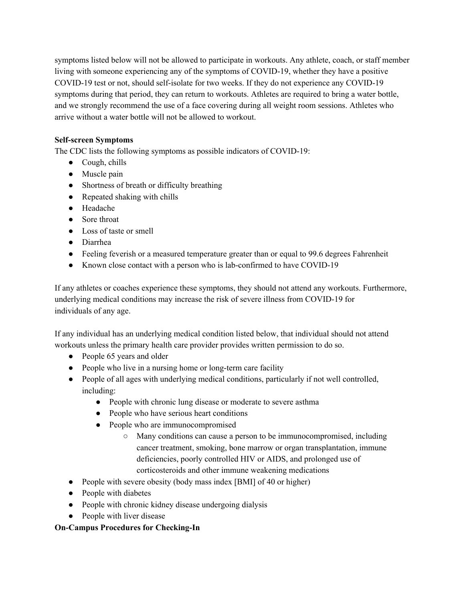symptoms listed below will not be allowed to participate in workouts. Any athlete, coach, or staff member living with someone experiencing any of the symptoms of COVID-19, whether they have a positive COVID-19 test or not, should self-isolate for two weeks. If they do not experience any COVID-19 symptoms during that period, they can return to workouts. Athletes are required to bring a water bottle, and we strongly recommend the use of a face covering during all weight room sessions. Athletes who arrive without a water bottle will not be allowed to workout.

# **Self-screen Symptoms**

The CDC lists the following symptoms as possible indicators of COVID-19:

- Cough, chills
- Muscle pain
- Shortness of breath or difficulty breathing
- Repeated shaking with chills
- Headache
- Sore throat
- Loss of taste or smell
- Diarrhea
- Feeling feverish or a measured temperature greater than or equal to 99.6 degrees Fahrenheit
- Known close contact with a person who is lab-confirmed to have COVID-19

If any athletes or coaches experience these symptoms, they should not attend any workouts. Furthermore, underlying medical conditions may increase the risk of severe illness from COVID-19 for individuals of any age.

If any individual has an underlying medical condition listed below, that individual should not attend workouts unless the primary health care provider provides written permission to do so.

- People 65 years and older
- People who live in a nursing home or long-term care facility
- People of all ages with underlying medical conditions, particularly if not well controlled, including:
	- People with chronic lung disease or moderate to severe asthma
	- People who have serious heart conditions
	- People who are immunocompromised
		- Many conditions can cause a person to be immunocompromised, including cancer treatment, smoking, bone marrow or organ transplantation, immune deficiencies, poorly controlled HIV or AIDS, and prolonged use of corticosteroids and other immune weakening medications
- People with severe obesity (body mass index [BMI] of 40 or higher)
- People with diabetes
- People with chronic kidney disease undergoing dialysis
- People with liver disease

# **On-Campus Procedures for Checking-In**